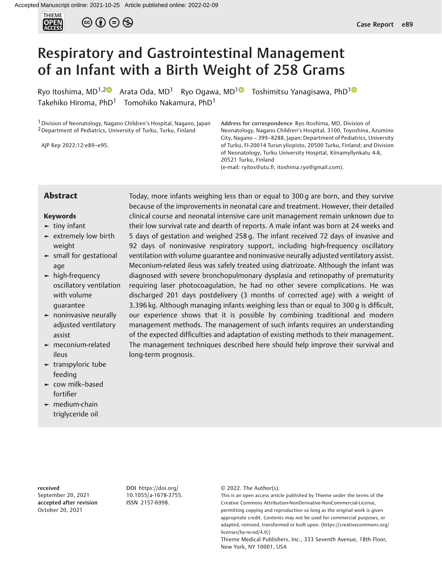

 $\circledcirc$   $\oplus$   $\circledcirc$ 

# Respiratory and Gastrointestinal Management of an Infant with a Birth Weight of 258 Grams

Ryo Itoshima, MD<sup>[1](https://orcid.org/0000-0003-3559-5545),2</sup> Arata Oda, MD<sup>1</sup> Ryo Ogawa, MD<sup>1</sup> Toshimitsu Yanagisawa, PhD<sup>1</sup> Takehiko Hiroma, PhD<sup>1</sup> Tomohiko Nakamura, PhD<sup>1</sup>

1Division of Neonatology, Nagano Children's Hospital, Nagano, Japan <sup>2</sup> Department of Pediatrics, University of Turku, Turku, Finland

AJP Rep 2022;12:e89–e95.

Address for correspondence Ryo Itoshima, MD, Division of Neonatology, Nagano Children's Hospital, 3100, Toyoshina, Azumino City, Nagano – 399–8288, Japan; Department of Pediatrics, University of Turku, FI-20014 Turun yliopisto, 20500 Turku, Finland; and Division of Neonatology, Turku University Hospital, Kiinamyllynkatu 4-8, 20521 Turku, Finland

(e-mail: [ryitos@utu.](mailto:ryitos@utu.fi)fi; [itoshima.ryo@gmail.com](mailto:itoshima.ryo@gmail.com)).

### Keywords

- $\blacktriangleright$  tiny infant
- ► extremely low birth weight
- ► small for gestational age
- ► high-frequency oscillatory ventilation with volume guarantee
- ► noninvasive neurally adjusted ventilatory assist
- ► meconium-related ileus
- ► transpyloric tube feeding
- ► cow milk–based fortifier
- ► medium-chain triglyceride oil

Abstract Today, more infants weighing less than or equal to 300 g are born, and they survive because of the improvements in neonatal care and treatment. However, their detailed clinical course and neonatal intensive care unit management remain unknown due to their low survival rate and dearth of reports. A male infant was born at 24 weeks and 5 days of gestation and weighed 258 g. The infant received 72 days of invasive and 92 days of noninvasive respiratory support, including high-frequency oscillatory ventilation with volume guarantee and noninvasive neurally adjusted ventilatory assist. Meconium-related ileus was safely treated using diatrizoate. Although the infant was diagnosed with severe bronchopulmonary dysplasia and retinopathy of prematurity requiring laser photocoagulation, he had no other severe complications. He was discharged 201 days postdelivery (3 months of corrected age) with a weight of 3.396 kg. Although managing infants weighing less than or equal to 300 g is difficult, our experience shows that it is possible by combining traditional and modern management methods. The management of such infants requires an understanding of the expected difficulties and adaptation of existing methods to their management. The management techniques described here should help improve their survival and long-term prognosis.

received

September 20, 2021 accepted after revision October 20, 2021

DOI [https://doi.org/](https://doi.org/10.1055/a-1678-3755) [10.1055/a-1678-3755](https://doi.org/10.1055/a-1678-3755). ISSN 2157-6998.

© 2022. The Author(s).

This is an open access article published by Thieme under the terms of the Creative Commons Attribution-NonDerivative-NonCommercial-License, permitting copying and reproduction so long as the original work is given appropriate credit. Contents may not be used for commercial purposes, or adapted, remixed, transformed or built upon. (https://creativecommons.org/ licenses/by-nc-nd/4.0/)

Thieme Medical Publishers, Inc., 333 Seventh Avenue, 18th Floor, New York, NY 10001, USA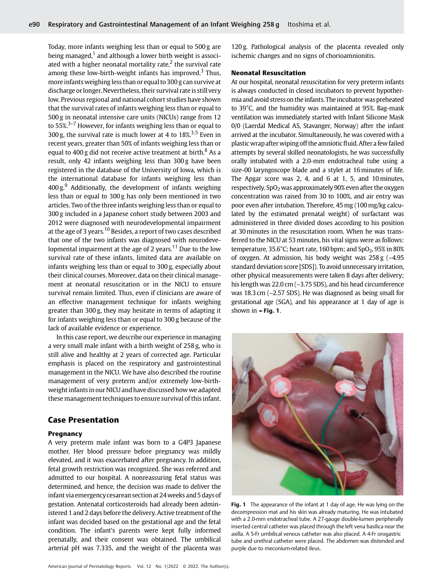Today, more infants weighing less than or equal to 500 g are being managed, $1$  and although a lower birth weight is associated with a higher neonatal mortality rate, $<sup>2</sup>$  the survival rate</sup> among these low-birth-weight infants has improved.<sup>3</sup> Thus, more infants weighing less than or equal to 300 g can survive at discharge or longer. Nevertheless, their survival rate is still very low. Previous regional and national cohort studies have shown that the survival rates of infants weighing less than or equal to 500 g in neonatal intensive care units (NICUs) range from 12 to  $55\%$ <sup>3-7</sup> However, for infants weighing less than or equal to 300 g, the survival rate is much lower at 4 to  $18\frac{\text{m}}{\text{s}}^{3.5}$  Even in recent years, greater than 50% of infants weighing less than or equal to 400 g did not receive active treatment at birth. $8$  As a result, only 42 infants weighing less than 300 g have been registered in the database of the University of Iowa, which is the international database for infants weighing less than  $400 g<sup>9</sup>$  Additionally, the development of infants weighing less than or equal to 300 g has only been mentioned in two articles. Two of the three infants weighing less than or equal to 300 g included in a Japanese cohort study between 2003 and 2012 were diagnosed with neurodevelopmental impairment at the age of 3 years.<sup>10</sup> Besides, a report of two cases described that one of the two infants was diagnosed with neurodevelopmental impairment at the age of 2 years.<sup>11</sup> Due to the low survival rate of these infants, limited data are available on infants weighing less than or equal to 300 g, especially about their clinical courses. Moreover, data on their clinical management at neonatal resuscitation or in the NICU to ensure survival remain limited. Thus, even if clinicians are aware of an effective management technique for infants weighing greater than 300 g, they may hesitate in terms of adapting it for infants weighing less than or equal to 300 g because of the lack of available evidence or experience.

In this case report, we describe our experience in managing a very small male infant with a birth weight of 258 g, who is still alive and healthy at 2 years of corrected age. Particular emphasis is placed on the respiratory and gastrointestinal management in the NICU. We have also described the routine management of very preterm and/or extremely low-birthweight infantsin our NICU and have discussed how we adapted these management techniques to ensure survival of this infant.

# Case Presentation

#### Pregnancy

A very preterm male infant was born to a G4P3 Japanese mother. Her blood pressure before pregnancy was mildly elevated, and it was exacerbated after pregnancy. In addition, fetal growth restriction was recognized. She was referred and admitted to our hospital. A nonreassuring fetal status was determined, and hence, the decision was made to deliver the infant via emergency cesarean section at 24weeks and 5 days of gestation. Antenatal corticosteroids had already been administered 1 and 2 days before the delivery. Active treatment of the infant was decided based on the gestational age and the fetal condition. The infant's parents were kept fully informed prenatally, and their consent was obtained. The umbilical arterial pH was 7.335, and the weight of the placenta was

120 g. Pathological analysis of the placenta revealed only ischemic changes and no signs of chorioamnionitis.

### Neonatal Resuscitation

At our hospital, neonatal resuscitation for very preterm infants is always conducted in closed incubators to prevent hypothermia and avoid stress on the infants. The incubator was preheated to 39°C, and the humidity was maintained at 95%. Bag-mask ventilation was immediately started with Infant Silicone Mask 0/0 (Laerdal Medical AS, Stavanger, Norway) after the infant arrived at the incubator. Simultaneously, he was covered with a plasticwrap after wiping off the amnioticfluid. After a few failed attempts by several skilled neonatologists, he was successfully orally intubated with a 2.0-mm endotracheal tube using a size-00 laryngoscope blade and a stylet at 16minutes of life. The Apgar score was 2, 4, and 6 at 1, 5, and 10minutes, respectively.  $SpO<sub>2</sub>$  was approximately 90% even after the oxygen concentration was raised from 30 to 100%, and air entry was poor even after intubation. Therefore, 45mg (100mg/kg calculated by the estimated prenatal weight) of surfactant was administered in three divided doses according to his position at 30minutes in the resuscitation room. When he was transferred to the NICU at 53minutes, his vital signs were as follows: temperature,  $35.6^{\circ}$ C; heart rate, 160 bpm; and SpO<sub>2</sub>, 95% in 80% of oxygen. At admission, his body weight was 258 g (–4.95 standard deviation score [SDS]). To avoid unnecessary irritation, other physical measurements were taken 8 days after delivery; his length was 22.0 cm (-3.75 SDS), and his head circumference was 18.3 cm (–2.57 SDS). He was diagnosed as being small for gestational age (SGA), and his appearance at 1 day of age is shown in  $\blacktriangleright$  Fig. 1.



**Fig. 1** The appearance of the infant at 1 day of age. He was lying on the decompression mat and his skin was already maturing. He was intubated with a 2.0-mm endotracheal tube. A 27-gauge double-lumen peripherally inserted central catheter was placed through the left vena basilica near the axilla. A 5-Fr umbilical venous catheter was also placed. A 4-Fr orogastric tube and urethral catheter were placed. The abdomen was distended and purple due to meconium-related ileus.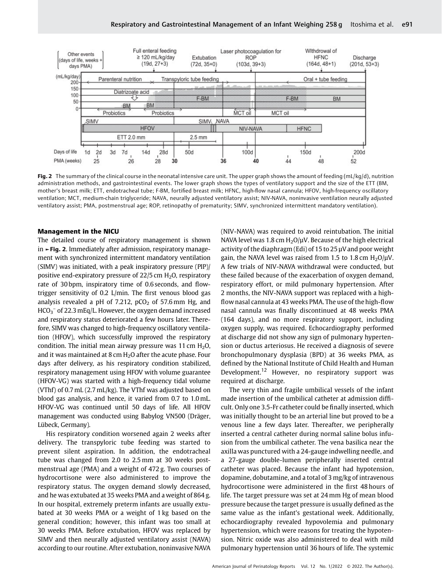

Fig. 2 The summary of the clinical course in the neonatal intensive care unit. The upper graph shows the amount of feeding (mL/kg/d), nutrition administration methods, and gastrointestinal events. The lower graph shows the types of ventilatory support and the size of the ETT (BM, mother's breast milk; ETT, endotracheal tube; F-BM, fortified breast milk; HFNC, high-flow nasal cannula; HFOV, high-frequency oscillatory ventilation; MCT, medium-chain triglyceride; NAVA, neurally adjusted ventilatory assist; NIV-NAVA, noninvasive ventilation neurally adjusted ventilatory assist; PMA, postmenstrual age; ROP, retinopathy of prematurity; SIMV, synchronized intermittent mandatory ventilation).

### Management in the NICU

The detailed course of respiratory management is shown in ►Fig. 2. Immediately after admission, respiratory management with synchronized intermittent mandatory ventilation (SIMV) was initiated, with a peak inspiratory pressure (PIP)/ positive end-expiratory pressure of  $22/5$  cm  $H_2O$ , respiratory rate of 30 bpm, inspiratory time of 0.6 seconds, and flowtrigger sensitivity of 0.2 L/min. The first venous blood gas analysis revealed a pH of 7.212,  $pCO<sub>2</sub>$  of 57.6mm Hg, and  $HCO_3^-$  of 22.3 mEq/L. However, the oxygen demand increased and respiratory status deteriorated a few hours later. Therefore, SIMV was changed to high-frequency oscillatory ventilation (HFOV), which successfully improved the respiratory condition. The initial mean airway pressure was 11 cm  $H_2O$ , and it was maintained at 8 cm  $H<sub>2</sub>O$  after the acute phase. Four days after delivery, as his respiratory condition stabilized, respiratory management using HFOV with volume guarantee (HFOV-VG) was started with a high-frequency tidal volume (VThf) of 0.7 mL (2.7mL/kg). The VThf was adjusted based on blood gas analysis, and hence, it varied from 0.7 to 1.0 mL. HFOV-VG was continued until 50 days of life. All HFOV management was conducted using Babylog VN500 (Dräger, Lübeck, Germany).

His respiratory condition worsened again 2 weeks after delivery. The transpyloric tube feeding was started to prevent silent aspiration. In addition, the endotracheal tube was changed from 2.0 to 2.5 mm at 30 weeks postmenstrual age (PMA) and a weight of 472 g. Two courses of hydrocortisone were also administered to improve the respiratory status. The oxygen demand slowly decreased, and he was extubated at 35 weeks PMA and a weight of 864 g. In our hospital, extremely preterm infants are usually extubated at 30 weeks PMA or a weight of 1 kg based on the general condition; however, this infant was too small at 30 weeks PMA. Before extubation, HFOV was replaced by SIMV and then neurally adjusted ventilatory assist (NAVA) according to our routine. After extubation, noninvasive NAVA (NIV-NAVA) was required to avoid reintubation. The initial NAVA level was 1.8 cm  $H_2O/\mu$ V. Because of the high electrical activity of the diaphragm (Edi) of 15 to 25 µV and poor weight gain, the NAVA level was raised from 1.5 to 1.8 cm  $H_2O/\mu V$ . A few trials of NIV-NAVA withdrawal were conducted, but these failed because of the exacerbation of oxygen demand, respiratory effort, or mild pulmonary hypertension. After 2 months, the NIV-NAVA support was replaced with a highflow nasal cannula at 43 weeks PMA. The use of the high-flow nasal cannula was finally discontinued at 48 weeks PMA (164 days), and no more respiratory support, including oxygen supply, was required. Echocardiography performed at discharge did not show any sign of pulmonary hypertension or ductus arteriosus. He received a diagnosis of severe bronchopulmonary dysplasia (BPD) at 36 weeks PMA, as defined by the National Institute of Child Health and Human Development.<sup>12</sup> However, no respiratory support was required at discharge.

The very thin and fragile umbilical vessels of the infant made insertion of the umbilical catheter at admission difficult. Only one 3.5-Fr catheter could be finally inserted, which was initially thought to be an arterial line but proved to be a venous line a few days later. Thereafter, we peripherally inserted a central catheter during normal saline bolus infusion from the umbilical catheter. The vena basilica near the axilla was punctured with a 24-gauge indwelling needle, and a 27-gauge double-lumen peripherally inserted central catheter was placed. Because the infant had hypotension, dopamine, dobutamine, and a total of 3 mg/kg of intravenous hydrocortisone were administered in the first 48 hours of life. The target pressure was set at 24 mm Hg of mean blood pressure because the target pressure is usually defined as the same value as the infant's gestational week. Additionally, echocardiography revealed hypovolemia and pulmonary hypertension, which were reasons for treating the hypotension. Nitric oxide was also administered to deal with mild pulmonary hypertension until 36 hours of life. The systemic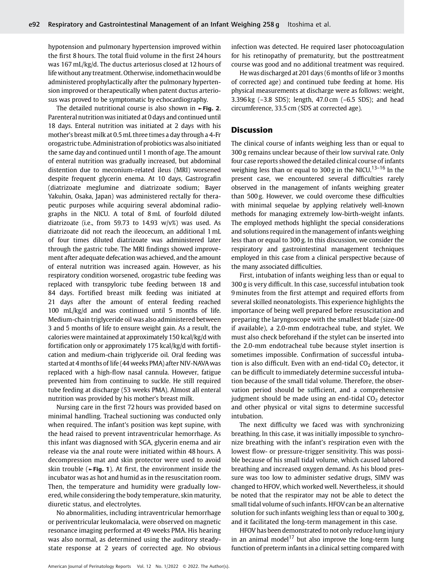hypotension and pulmonary hypertension improved within the first 8 hours. The total fluid volume in the first 24 hours was 167 mL/kg/d. The ductus arteriosus closed at 12 hours of life without any treatment. Otherwise, indomethacin would be administered prophylactically after the pulmonary hypertension improved or therapeutically when patent ductus arteriosus was proved to be symptomatic by echocardiography.

The detailed nutritional course is also shown in ►Fig. 2. Parenteral nutritionwas initiated at 0 days and continued until 18 days. Enteral nutrition was initiated at 2 days with his mother's breast milk at 0.5mL three times a day through a 4-Fr orogastric tube. Administration of probiotics was also initiated the same day and continued until 1 month of age. The amount of enteral nutrition was gradually increased, but abdominal distention due to meconium-related ileus (MRI) worsened despite frequent glycerin enema. At 10 days, Gastrografin (diatrizoate meglumine and diatrizoate sodium; Bayer Yakuhin, Osaka, Japan) was administered rectally for therapeutic purposes while acquiring several abdominal radiographs in the NICU. A total of 8 mL of fourfold diluted diatrizoate (i.e., from 59.73 to 14.93  $w/v\%$ ) was used. As diatrizoate did not reach the ileocecum, an additional 1 mL of four times diluted diatrizoate was administered later through the gastric tube. The MRI findings showed improvement after adequate defecation was achieved, and the amount of enteral nutrition was increased again. However, as his respiratory condition worsened, orogastric tube feeding was replaced with transpyloric tube feeding between 18 and 84 days. Fortified breast milk feeding was initiated at 21 days after the amount of enteral feeding reached 100 mL/kg/d and was continued until 5 months of life. Medium-chain triglyceride oil was also administered between 3 and 5 months of life to ensure weight gain. As a result, the calories were maintained at approximately 150 kcal/kg/d with fortification only or approximately 175 kcal/kg/d with fortification and medium-chain triglyceride oil. Oral feeding was started at 4 months of life (44 weeks PMA) after NIV-NAVAwas replaced with a high-flow nasal cannula. However, fatigue prevented him from continuing to suckle. He still required tube feeding at discharge (53 weeks PMA). Almost all enteral nutrition was provided by his mother's breast milk.

Nursing care in the first 72 hours was provided based on minimal handling. Tracheal suctioning was conducted only when required. The infant's position was kept supine, with the head raised to prevent intraventricular hemorrhage. As this infant was diagnosed with SGA, glycerin enema and air release via the anal route were initiated within 48 hours. A decompression mat and skin protector were used to avoid skin trouble ( $\blacktriangleright$ Fig. 1). At first, the environment inside the incubator was as hot and humid as in the resuscitation room. Then, the temperature and humidity were gradually lowered, while considering the body temperature, skin maturity, diuretic status, and electrolytes.

No abnormalities, including intraventricular hemorrhage or periventricular leukomalacia, were observed on magnetic resonance imaging performed at 49 weeks PMA. His hearing was also normal, as determined using the auditory steadystate response at 2 years of corrected age. No obvious

infection was detected. He required laser photocoagulation for his retinopathy of prematurity, but the posttreatment course was good and no additional treatment was required.

Hewas discharged at 201 days (6 months of life or 3 months of corrected age) and continued tube feeding at home. His physical measurements at discharge were as follows: weight, 3.396 kg (–3.8 SDS); length, 47.0 cm (–6.5 SDS); and head circumference, 33.5 cm (SDS at corrected age).

# **Discussion**

The clinical course of infants weighing less than or equal to 300 g remains unclear because of their low survival rate. Only four case reports showed the detailed clinical course of infants weighing less than or equal to 300 g in the NICU.<sup>13-16</sup> In the present case, we encountered several difficulties rarely observed in the management of infants weighing greater than 500 g. However, we could overcome these difficulties with minimal sequelae by applying relatively well-known methods for managing extremely low-birth-weight infants. The employed methods highlight the special considerations and solutions required in the management of infants weighing less than or equal to 300 g. In this discussion, we consider the respiratory and gastrointestinal management techniques employed in this case from a clinical perspective because of the many associated difficulties.

First, intubation of infants weighing less than or equal to 300 g is very difficult. In this case, successful intubation took 9 minutes from the first attempt and required efforts from several skilled neonatologists. This experience highlights the importance of being well prepared before resuscitation and preparing the laryngoscope with the smallest blade (size-00 if available), a 2.0-mm endotracheal tube, and stylet. We must also check beforehand if the stylet can be inserted into the 2.0-mm endotracheal tube because stylet insertion is sometimes impossible. Confirmation of successful intubation is also difficult. Even with an end-tidal  $CO<sub>2</sub>$  detector, it can be difficult to immediately determine successful intubation because of the small tidal volume. Therefore, the observation period should be sufficient, and a comprehensive judgment should be made using an end-tidal  $CO<sub>2</sub>$  detector and other physical or vital signs to determine successful intubation.

The next difficulty we faced was with synchronizing breathing. In this case, it was initially impossible to synchronize breathing with the infant's respiration even with the lowest flow- or pressure-trigger sensitivity. This was possible because of his small tidal volume, which caused labored breathing and increased oxygen demand. As his blood pressure was too low to administer sedative drugs, SIMV was changed to HFOV, which worked well. Nevertheless, it should be noted that the respirator may not be able to detect the small tidal volume of such infants. HFOV can be an alternative solution for such infants weighing less than or equal to 300 g, and it facilitated the long-term management in this case.

HFOV has been demonstrated to not only reduce lung injury in an animal model<sup>17</sup> but also improve the long-term lung function of preterm infants in a clinical setting compared with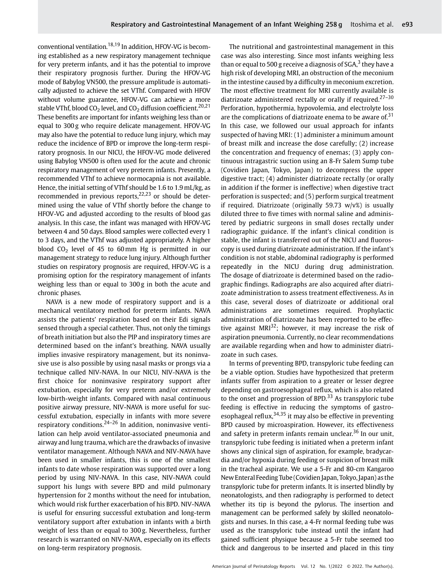conventional ventilation.18,19 In addition, HFOV-VG is becoming established as a new respiratory management technique for very preterm infants, and it has the potential to improve their respiratory prognosis further. During the HFOV-VG mode of Babylog VN500, the pressure amplitude is automatically adjusted to achieve the set VThf. Compared with HFOV without volume guarantee, HFOV-VG can achieve a more stable VThf, blood  $CO<sub>2</sub>$  level, and  $CO<sub>2</sub>$  diffusion coefficient.<sup>20,21</sup> These benefits are important for infants weighing less than or equal to 300 g who require delicate management. HFOV-VG may also have the potential to reduce lung injury, which may reduce the incidence of BPD or improve the long-term respiratory prognosis. In our NICU, the HFOV-VG mode delivered using Babylog VN500 is often used for the acute and chronic respiratory management of very preterm infants. Presently, a recommended VThf to achieve normocapnia is not available. Hence, the initial setting of VThf should be 1.6 to 1.9 mL/kg, as recommended in previous reports, $22,23$  or should be determined using the value of VThf shortly before the change to HFOV-VG and adjusted according to the results of blood gas analysis. In this case, the infant was managed with HFOV-VG between 4 and 50 days. Blood samples were collected every 1 to 3 days, and the VThf was adjusted appropriately. A higher blood  $CO<sub>2</sub>$  level of 45 to 60 mm Hg is permitted in our management strategy to reduce lung injury. Although further studies on respiratory prognosis are required, HFOV-VG is a promising option for the respiratory management of infants weighing less than or equal to 300 g in both the acute and chronic phases.

NAVA is a new mode of respiratory support and is a mechanical ventilatory method for preterm infants. NAVA assists the patients' respiration based on their Edi signals sensed through a special catheter. Thus, not only the timings of breath initiation but also the PIP and inspiratory times are determined based on the infant's breathing. NAVA usually implies invasive respiratory management, but its noninvasive use is also possible by using nasal masks or prongs via a technique called NIV-NAVA. In our NICU, NIV-NAVA is the first choice for noninvasive respiratory support after extubation, especially for very preterm and/or extremely low-birth-weight infants. Compared with nasal continuous positive airway pressure, NIV-NAVA is more useful for successful extubation, especially in infants with more severe respiratory conditions. $2^{4-26}$  In addition, noninvasive ventilation can help avoid ventilator-associated pneumonia and airway and lung trauma, which are the drawbacks of invasive ventilator management. Although NAVA and NIV-NAVA have been used in smaller infants, this is one of the smallest infants to date whose respiration was supported over a long period by using NIV-NAVA. In this case, NIV-NAVA could support his lungs with severe BPD and mild pulmonary hypertension for 2 months without the need for intubation, which would risk further exacerbation of his BPD. NIV-NAVA is useful for ensuring successful extubation and long-term ventilatory support after extubation in infants with a birth weight of less than or equal to 300 g. Nevertheless, further research is warranted on NIV-NAVA, especially on its effects on long-term respiratory prognosis.

The nutritional and gastrointestinal management in this case was also interesting. Since most infants weighing less than or equal to 500 g receive a diagnosis of  $SGA$ , they have a high risk of developing MRI, an obstruction of the meconium in the intestine caused by a difficulty in meconium excretion. The most effective treatment for MRI currently available is diatrizoate administered rectally or orally if required.<sup>27-30</sup> Perforation, hypothermia, hypovolemia, and electrolyte loss are the complications of diatrizoate enema to be aware of. $31$ In this case, we followed our usual approach for infants suspected of having MRI: (1) administer a minimum amount of breast milk and increase the dose carefully; (2) increase the concentration and frequency of enemas; (3) apply continuous intragastric suction using an 8-Fr Salem Sump tube (Covidien Japan, Tokyo, Japan) to decompress the upper digestive tract; (4) administer diatrizoate rectally (or orally in addition if the former is ineffective) when digestive tract perforation is suspected; and (5) perform surgical treatment if required. Diatrizoate (originally 59.73 w/v%) is usually diluted three to five times with normal saline and administered by pediatric surgeons in small doses rectally under radiographic guidance. If the infant's clinical condition is stable, the infant is transferred out of the NICU and fluoroscopy is used during diatrizoate administration. If the infant's condition is not stable, abdominal radiography is performed repeatedly in the NICU during drug administration. The dosage of diatrizoate is determined based on the radiographic findings. Radiographs are also acquired after diatrizoate administration to assess treatment effectiveness. As in this case, several doses of diatrizoate or additional oral administrations are sometimes required. Prophylactic administration of diatrizoate has been reported to be effective against MRI $^{32}$ ; however, it may increase the risk of aspiration pneumonia. Currently, no clear recommendations are available regarding when and how to administer diatrizoate in such cases.

In terms of preventing BPD, transpyloric tube feeding can be a viable option. Studies have hypothesized that preterm infants suffer from aspiration to a greater or lesser degree depending on gastroesophageal reflux, which is also related to the onset and progression of BPD. $33$  As transpyloric tube feeding is effective in reducing the symptoms of gastroesophageal reflux,  $34,35$  it may also be effective in preventing BPD caused by microaspiration. However, its effectiveness and safety in preterm infants remain unclear. $36$  In our unit, transpyloric tube feeding is initiated when a preterm infant shows any clinical sign of aspiration, for example, bradycardia and/or hypoxia during feeding or suspicion of breast milk in the tracheal aspirate. We use a 5-Fr and 80-cm Kangaroo New Enteral Feeding Tube (Covidien Japan, Tokyo, Japan) as the transpyloric tube for preterm infants. It is inserted blindly by neonatologists, and then radiography is performed to detect whether its tip is beyond the pylorus. The insertion and management can be performed safely by skilled neonatologists and nurses. In this case, a 4-Fr normal feeding tube was used as the transpyloric tube instead until the infant had gained sufficient physique because a 5-Fr tube seemed too thick and dangerous to be inserted and placed in this tiny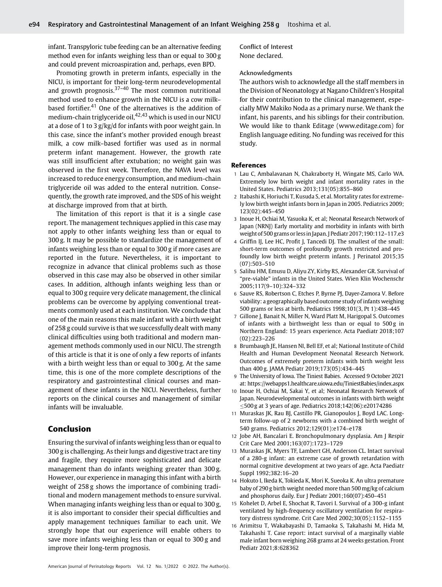infant. Transpyloric tube feeding can be an alternative feeding method even for infants weighing less than or equal to 300 g and could prevent microaspiration and, perhaps, even BPD.

Promoting growth in preterm infants, especially in the NICU, is important for their long-term neurodevelopmental and growth prognosis. $37-40$  The most common nutritional method used to enhance growth in the NICU is a cow milk– based fortifier.<sup>41</sup> One of the alternatives is the addition of medium-chain triglyceride oil,  $42,43$  which is used in our NICU at a dose of 1 to 3 g/kg/d for infants with poor weight gain. In this case, since the infant's mother provided enough breast milk, a cow milk–based fortifier was used as in normal preterm infant management. However, the growth rate was still insufficient after extubation; no weight gain was observed in the first week. Therefore, the NAVA level was increased to reduce energy consumption, and medium-chain triglyceride oil was added to the enteral nutrition. Consequently, the growth rate improved, and the SDS of his weight at discharge improved from that at birth.

The limitation of this report is that it is a single case report. The management techniques applied in this case may not apply to other infants weighing less than or equal to 300 g. It may be possible to standardize the management of infants weighing less than or equal to 300 g if more cases are reported in the future. Nevertheless, it is important to recognize in advance that clinical problems such as those observed in this case may also be observed in other similar cases. In addition, although infants weighing less than or equal to 300 g require very delicate management, the clinical problems can be overcome by applying conventional treatments commonly used at each institution. We conclude that one of the main reasons this male infant with a birth weight of 258 g could survive is that we successfully dealt with many clinical difficulties using both traditional and modern management methods commonly used in our NICU. The strength of this article is that it is one of only a few reports of infants with a birth weight less than or equal to 300 g. At the same time, this is one of the more complete descriptions of the respiratory and gastrointestinal clinical courses and management of these infants in the NICU. Nevertheless, further reports on the clinical courses and management of similar infants will be invaluable.

# Conclusion

Ensuring the survival of infants weighing less than or equal to 300 g is challenging. As their lungs and digestive tract are tiny and fragile, they require more sophisticated and delicate management than do infants weighing greater than 300 g. However, our experience in managing this infant with a birth weight of 258 g shows the importance of combining traditional and modern management methods to ensure survival. When managing infants weighing less than or equal to 300 g, it is also important to consider their special difficulties and apply management techniques familiar to each unit. We strongly hope that our experience will enable others to save more infants weighing less than or equal to 300 g and improve their long-term prognosis.

Conflict of Interest None declared.

#### Acknowledgments

The authors wish to acknowledge all the staff members in the Division of Neonatology at Nagano Children's Hospital for their contribution to the clinical management, especially MW Makiko Noda as a primary nurse. We thank the infant, his parents, and his siblings for their contribution. We would like to thank Editage ([www.editage.com\)](http://www.editage.com) for English language editing. No funding was received for this study.

#### References

- 1 Lau C, Ambalavanan N, Chakraborty H, Wingate MS, Carlo WA. Extremely low birth weight and infant mortality rates in the United States. Pediatrics 2013;131(05):855–860
- 2 Itabashi K, Horiuchi T, Kusuda S, et al. Mortality rates for extremely low birth weight infants born in Japan in 2005. Pediatrics 2009; 123(02):445–450
- 3 Inoue H, Ochiai M, Yasuoka K, et al; Neonatal Research Network of Japan (NRNJ) Early mortality and morbidity in infants with birth weight of 500 grams orlessin Japan. J Pediatr 2017;190:112–117.e3
- 4 Griffin IJ, Lee HC, Profit J, Tancedi DJ. The smallest of the small: short-term outcomes of profoundly growth restricted and profoundly low birth weight preterm infants. J Perinatol 2015;35 (07):503–510
- 5 Salihu HM, Emusu D, Aliyu ZY, Kirby RS, Alexander GR. Survival of "pre-viable" infants in the United States. Wien Klin Wochenschr 2005;117(9–10):324–332
- 6 Sauve RS, Robertson C, Etches P, Byrne PJ, Dayer-Zamora V. Before viability: a geographically based outcome study of infants weighing 500 grams or less at birth. Pediatrics 1998;101(3, Pt 1):438–445
- 7 Gillone J, Banait N, Miller N, Ward Platt M, Harigopal S. Outcomes of infants with a birthweight less than or equal to 500g in Northern England: 15 years experience. Acta Paediatr 2018;107 (02):223–226
- 8 Brumbaugh JE, Hansen NI, Bell EF, et al; National Institute of Child Health and Human Development Neonatal Research Network. Outcomes of extremely preterm infants with birth weight less than 400 g. JAMA Pediatr 2019;173(05):434–445
- 9 The University of Iowa. The Tiniest Babies. Accessed 9 October 2021 at:<https://webapps1.healthcare.uiowa.edu/TiniestBabies/index.aspx>
- Inoue H, Ochiai M, Sakai Y, et al; Neonatal Research Network of Japan. Neurodevelopmental outcomes in infants with birth weight 500 g at 3 years of age. Pediatrics 2018;142(06):e20174286
- 11 Muraskas JK, Rau BJ, Castillo PR, Gianopoulos J, Boyd LAC. Longterm follow-up of 2 newborns with a combined birth weight of 540 grams. Pediatrics 2012;129(01):e174–e178
- 12 Jobe AH, Bancalari E. Bronchopulmonary dysplasia. Am J Respir Crit Care Med 2001;163(07):1723–1729
- 13 Muraskas JK, Myers TF, Lambert GH, Anderson CL. Intact survival of a 280-g infant: an extreme case of growth retardation with normal cognitive development at two years of age. Acta Paediatr Suppl 1992;382:16–20
- 14 Hokuto I, Ikeda K, Tokieda K, Mori K, Sueoka K. An ultra premature baby of 290 g birth weight needed more than 500mg/kg of calcium and phosphorus daily. Eur J Pediatr 2001;160(07):450–451
- 15 Kohelet D, Arbel E, Shochat R, Tavori I. Survival of a 300-g infant ventilated by high-frequency oscillatory ventilation for respiratory distress syndrome. Crit Care Med 2002;30(05):1152–1155
- 16 Arimitsu T, Wakabayashi D, Tamaoka S, Takahashi M, Hida M, Takahashi T. Case report: intact survival of a marginally viable male infant born weighing 268 grams at 24 weeks gestation. Front Pediatr 2021;8:628362